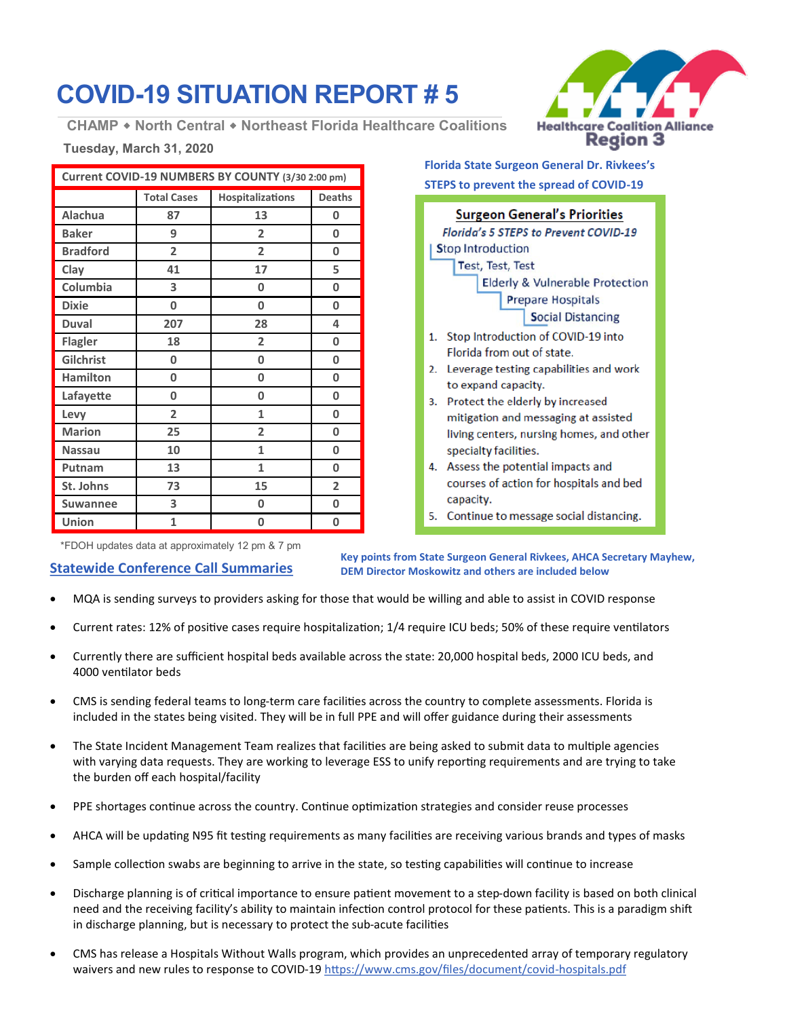# **COVID-19 SITUATION REPORT # 5**

**CHAMP North Central Northeast Florida Healthcare Coalitions**

## **Tuesday, March 31, 2020**

| Current COVID-19 NUMBERS BY COUNTY (3/30 2:00 pm) |                    |                         |                |
|---------------------------------------------------|--------------------|-------------------------|----------------|
|                                                   | <b>Total Cases</b> | <b>Hospitalizations</b> | <b>Deaths</b>  |
| Alachua                                           | 87                 | 13                      | 0              |
| <b>Baker</b>                                      | 9                  | $\overline{2}$          | 0              |
| <b>Bradford</b>                                   | $\overline{2}$     | $\overline{2}$          | 0              |
| Clay                                              | 41                 | 17                      | 5              |
| Columbia                                          | 3                  | 0                       | 0              |
| <b>Dixie</b>                                      | 0                  | 0                       | 0              |
| <b>Duval</b>                                      | 207                | 28                      | 4              |
| <b>Flagler</b>                                    | 18                 | $\overline{2}$          | 0              |
| Gilchrist                                         | 0                  | 0                       | 0              |
| <b>Hamilton</b>                                   | 0                  | 0                       | 0              |
| Lafayette                                         | 0                  | 0                       | 0              |
| Levy                                              | $\overline{2}$     | 1                       | 0              |
| <b>Marion</b>                                     | 25                 | $\overline{2}$          | 0              |
| <b>Nassau</b>                                     | 10                 | 1                       | 0              |
| Putnam                                            | 13                 | 1                       | 0              |
| St. Johns                                         | 73                 | 15                      | $\overline{2}$ |
| <b>Suwannee</b>                                   | 3                  | 0                       | 0              |
| Union                                             | 1                  | 0                       | 0              |

**Healthcare Coalition Alliance Region 3** 

**Surgeon General's Priorities** Florida's 5 STEPS to Prevent COVID-19 **Stop Introduction** Test, Test, Test **Elderly & Vulnerable Protection Prepare Hospitals Social Distancing** 1. Stop Introduction of COVID-19 into Florida from out of state. 2. Leverage testing capabilities and work to expand capacity. 3. Protect the elderly by increased

**Florida State Surgeon General Dr. Rivkees's STEPS to prevent the spread of COVID-19**

- mitigation and messaging at assisted living centers, nursing homes, and other specialty facilities.
- 4. Assess the potential impacts and courses of action for hospitals and bed capacity.
- 5. Continue to message social distancing.

\*FDOH updates data at approximately 12 pm & 7 pm

## **Statewide Conference Call Summaries**

**Key points from State Surgeon General Rivkees, AHCA Secretary Mayhew, DEM Director Moskowitz and others are included below**

- MQA is sending surveys to providers asking for those that would be willing and able to assist in COVID response
- Current rates: 12% of positive cases require hospitalization; 1/4 require ICU beds; 50% of these require ventilators
- Currently there are sufficient hospital beds available across the state: 20,000 hospital beds, 2000 ICU beds, and 4000 ventilator beds
- CMS is sending federal teams to long-term care facilities across the country to complete assessments. Florida is included in the states being visited. They will be in full PPE and will offer guidance during their assessments
- The State Incident Management Team realizes that facilities are being asked to submit data to multiple agencies with varying data requests. They are working to leverage ESS to unify reporting requirements and are trying to take the burden off each hospital/facility
- PPE shortages continue across the country. Continue optimization strategies and consider reuse processes
- AHCA will be updating N95 fit testing requirements as many facilities are receiving various brands and types of masks
- Sample collection swabs are beginning to arrive in the state, so testing capabilities will continue to increase
- Discharge planning is of critical importance to ensure patient movement to a step-down facility is based on both clinical need and the receiving facility's ability to maintain infection control protocol for these patients. This is a paradigm shift in discharge planning, but is necessary to protect the sub-acute facilities
- CMS has release a Hospitals Without Walls program, which provides an unprecedented array of temporary regulatory waivers and new rules to response to COVID-19 [https://www.cms.gov/files/document/covid](https://www.cms.gov/files/document/covid-hospitals.pdf)-hospitals.pdf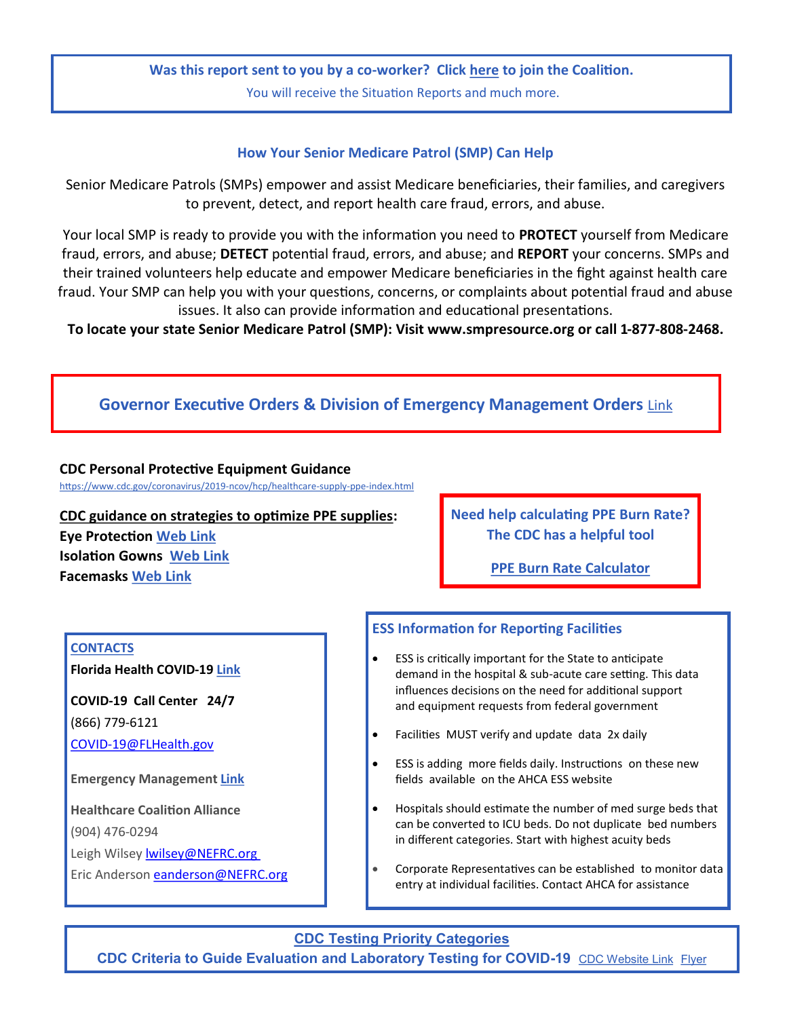## **Was this report sent to you by a co-worker? Click [here](https://nefrc.readyop.com/fs/4c9g/c0c2) to join the Coalition.**

You will receive the Situation Reports and much more.

### **How Your Senior Medicare Patrol (SMP) Can Help**

Senior Medicare Patrols (SMPs) empower and assist Medicare beneficiaries, their families, and caregivers to prevent, detect, and report health care fraud, errors, and abuse.

Your local SMP is ready to provide you with the information you need to **PROTECT** yourself from Medicare fraud, errors, and abuse; **DETECT** potential fraud, errors, and abuse; and **REPORT** your concerns. SMPs and their trained volunteers help educate and empower Medicare beneficiaries in the fight against health care fraud. Your SMP can help you with your questions, concerns, or complaints about potential fraud and abuse issues. It also can provide information and educational presentations.

**To locate your state Senior Medicare Patrol (SMP): Visit www.smpresource.org or call 1-877-808-2468.** 

## **Governor Executive Orders & Division of Emergency Management Orders** [Link](https://www.flgov.com/covid-19/)

#### **CDC Personal Protective Equipment Guidance**

[https://www.cdc.gov/coronavirus/2019](https://www.cdc.gov/coronavirus/2019-ncov/hcp/healthcare-supply-ppe-index.html)-ncov/hcp/healthcare-supply-ppe-index.html

**CDC guidance on strategies to optimize PPE supplies: Eye Protection [Web Link](https://www.cdc.gov/coronavirus/2019-ncov/hcp/ppe-strategy/eye-protection.html) Isolation Gowns [Web Link](https://www.cdc.gov/coronavirus/2019-ncov/hcp/ppe-strategy/isolation-gowns.html) Facemasks [Web Link](https://www.cdc.gov/coronavirus/2019-ncov/hcp/ppe-strategy/face-masks.html)**

**Need help calculating PPE Burn Rate? The CDC has a helpful tool**

**[PPE Burn Rate Calculator](https://www.cdc.gov/coronavirus/2019-ncov/hcp/ppe-strategy/burn-calculator.html)**

#### **CONTACTS**

**Florida Health COVID-19 [Link](https://floridahealthcovid19.gov/)**

**COVID-19 Call Center 24/7** (866) 779-6121 COVID-[19@FLHealth.gov](mailto:COVID-19@FLHealth.gov)

**Emergency Management [Link](https://www.floridadisaster.org/counties/)**

**Healthcare Coalition Alliance** (904) 476-0294 Leigh Wi[l](mailto:lwilsey@NEFRC.org)sey **Iwilsey@NEFRC.org** Eric Anderson eanderson@NEFRC.org

## **ESS Information for Reporting Facilities**

- ESS is critically important for the State to anticipate demand in the hospital & sub-acute care setting. This data influences decisions on the need for additional support and equipment requests from federal government
- Facilities MUST verify and update data 2x daily
- ESS is adding more fields daily. Instructions on these new fields available on the AHCA ESS website
- Hospitals should estimate the number of med surge beds that can be converted to ICU beds. Do not duplicate bed numbers in different categories. Start with highest acuity beds
- Corporate Representatives can be established to monitor data entry at individual facilities. Contact AHCA for assistance

**CDC Testing Priority Categories CDC Criteria to Guide Evaluation and Laboratory Testing for COVID-19** [CDC Website Link](https://www.cdc.gov/coronavirus/2019-nCoV/hcp/clinical-criteria.html) [Flyer](https://www.cdc.gov/coronavirus/2019-ncov/downloads/priority-testing-patients.pdf)